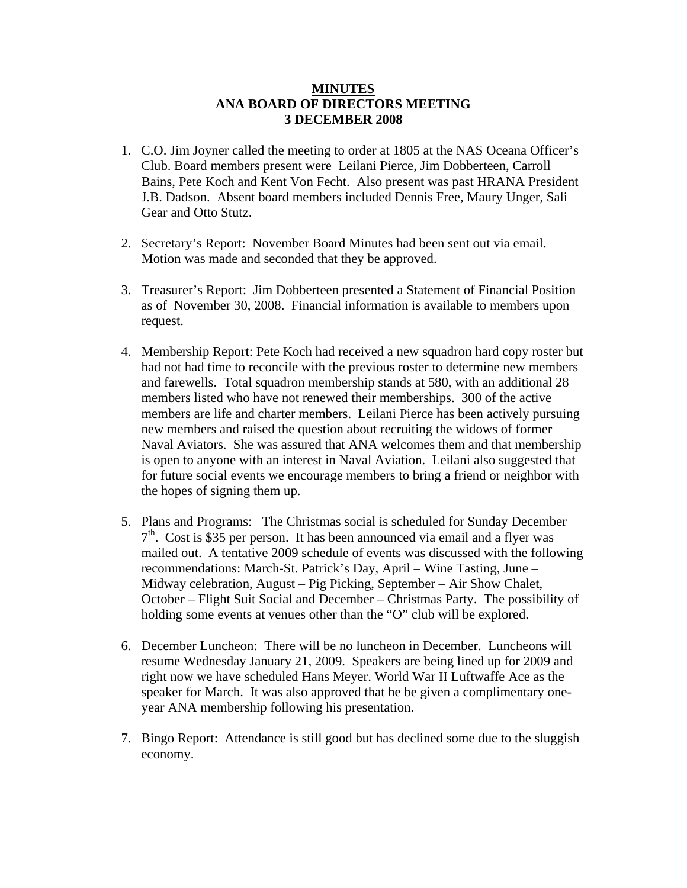## **MINUTES ANA BOARD OF DIRECTORS MEETING 3 DECEMBER 2008**

- 1. C.O. Jim Joyner called the meeting to order at 1805 at the NAS Oceana Officer's Club. Board members present were Leilani Pierce, Jim Dobberteen, Carroll Bains, Pete Koch and Kent Von Fecht. Also present was past HRANA President J.B. Dadson. Absent board members included Dennis Free, Maury Unger, Sali Gear and Otto Stutz.
- 2. Secretary's Report: November Board Minutes had been sent out via email. Motion was made and seconded that they be approved.
- 3. Treasurer's Report: Jim Dobberteen presented a Statement of Financial Position as of November 30, 2008. Financial information is available to members upon request.
- 4. Membership Report: Pete Koch had received a new squadron hard copy roster but had not had time to reconcile with the previous roster to determine new members and farewells. Total squadron membership stands at 580, with an additional 28 members listed who have not renewed their memberships. 300 of the active members are life and charter members. Leilani Pierce has been actively pursuing new members and raised the question about recruiting the widows of former Naval Aviators. She was assured that ANA welcomes them and that membership is open to anyone with an interest in Naval Aviation. Leilani also suggested that for future social events we encourage members to bring a friend or neighbor with the hopes of signing them up.
- 5. Plans and Programs: The Christmas social is scheduled for Sunday December  $7<sup>th</sup>$ . Cost is \$35 per person. It has been announced via email and a flyer was mailed out. A tentative 2009 schedule of events was discussed with the following recommendations: March-St. Patrick's Day, April – Wine Tasting, June – Midway celebration, August – Pig Picking, September – Air Show Chalet, October – Flight Suit Social and December – Christmas Party. The possibility of holding some events at venues other than the "O" club will be explored.
- 6. December Luncheon: There will be no luncheon in December. Luncheons will resume Wednesday January 21, 2009. Speakers are being lined up for 2009 and right now we have scheduled Hans Meyer. World War II Luftwaffe Ace as the speaker for March. It was also approved that he be given a complimentary oneyear ANA membership following his presentation.
- 7. Bingo Report: Attendance is still good but has declined some due to the sluggish economy.